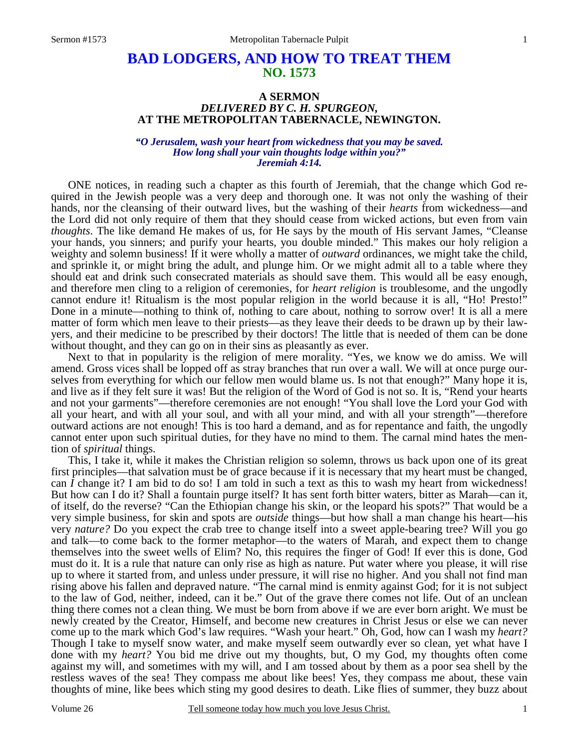## **BAD LODGERS, AND HOW TO TREAT THEM NO. 1573**

## **A SERMON** *DELIVERED BY C. H. SPURGEON,*  **AT THE METROPOLITAN TABERNACLE, NEWINGTON.**

## *"O Jerusalem, wash your heart from wickedness that you may be saved. How long shall your vain thoughts lodge within you?" Jeremiah 4:14.*

ONE notices, in reading such a chapter as this fourth of Jeremiah, that the change which God required in the Jewish people was a very deep and thorough one. It was not only the washing of their hands, nor the cleansing of their outward lives, but the washing of their *hearts* from wickedness—and the Lord did not only require of them that they should cease from wicked actions, but even from vain *thoughts*. The like demand He makes of us, for He says by the mouth of His servant James, "Cleanse your hands, you sinners; and purify your hearts, you double minded." This makes our holy religion a weighty and solemn business! If it were wholly a matter of *outward* ordinances, we might take the child, and sprinkle it, or might bring the adult, and plunge him. Or we might admit all to a table where they should eat and drink such consecrated materials as should save them. This would all be easy enough, and therefore men cling to a religion of ceremonies, for *heart religion* is troublesome, and the ungodly cannot endure it! Ritualism is the most popular religion in the world because it is all, "Ho! Presto!" Done in a minute—nothing to think of, nothing to care about, nothing to sorrow over! It is all a mere matter of form which men leave to their priests—as they leave their deeds to be drawn up by their lawyers, and their medicine to be prescribed by their doctors! The little that is needed of them can be done without thought, and they can go on in their sins as pleasantly as ever.

 Next to that in popularity is the religion of mere morality. "Yes, we know we do amiss. We will amend. Gross vices shall be lopped off as stray branches that run over a wall. We will at once purge ourselves from everything for which our fellow men would blame us. Is not that enough?" Many hope it is, and live as if they felt sure it was! But the religion of the Word of God is not so. It is, "Rend your hearts and not your garments"—therefore ceremonies are not enough! "You shall love the Lord your God with all your heart, and with all your soul, and with all your mind, and with all your strength"—therefore outward actions are not enough! This is too hard a demand, and as for repentance and faith, the ungodly cannot enter upon such spiritual duties, for they have no mind to them. The carnal mind hates the mention of *spiritual* things.

 This, I take it, while it makes the Christian religion so solemn, throws us back upon one of its great first principles—that salvation must be of grace because if it is necessary that my heart must be changed, can *I* change it? I am bid to do so! I am told in such a text as this to wash my heart from wickedness! But how can I do it? Shall a fountain purge itself? It has sent forth bitter waters, bitter as Marah—can it, of itself, do the reverse? "Can the Ethiopian change his skin, or the leopard his spots?" That would be a very simple business, for skin and spots are *outside* things—but how shall a man change his heart—his very *nature?* Do you expect the crab tree to change itself into a sweet apple-bearing tree? Will you go and talk—to come back to the former metaphor—to the waters of Marah, and expect them to change themselves into the sweet wells of Elim? No, this requires the finger of God! If ever this is done, God must do it. It is a rule that nature can only rise as high as nature. Put water where you please, it will rise up to where it started from, and unless under pressure, it will rise no higher. And you shall not find man rising above his fallen and depraved nature. "The carnal mind is enmity against God; for it is not subject to the law of God, neither, indeed, can it be." Out of the grave there comes not life. Out of an unclean thing there comes not a clean thing. We must be born from above if we are ever born aright. We must be newly created by the Creator, Himself, and become new creatures in Christ Jesus or else we can never come up to the mark which God's law requires. "Wash your heart." Oh, God, how can I wash my *heart?* Though I take to myself snow water, and make myself seem outwardly ever so clean, yet what have I done with my *heart?* You bid me drive out my thoughts, but, O my God, my thoughts often come against my will, and sometimes with my will, and I am tossed about by them as a poor sea shell by the restless waves of the sea! They compass me about like bees! Yes, they compass me about, these vain thoughts of mine, like bees which sting my good desires to death. Like flies of summer, they buzz about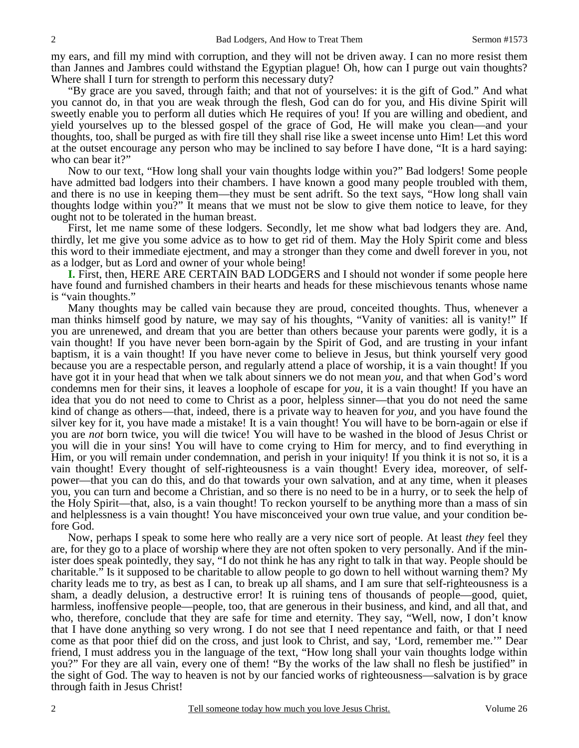my ears, and fill my mind with corruption, and they will not be driven away. I can no more resist them than Jannes and Jambres could withstand the Egyptian plague! Oh, how can I purge out vain thoughts? Where shall I turn for strength to perform this necessary duty?

 "By grace are you saved, through faith; and that not of yourselves: it is the gift of God." And what you cannot do, in that you are weak through the flesh, God can do for you, and His divine Spirit will sweetly enable you to perform all duties which He requires of you! If you are willing and obedient, and yield yourselves up to the blessed gospel of the grace of God, He will make you clean—and your thoughts, too, shall be purged as with fire till they shall rise like a sweet incense unto Him! Let this word at the outset encourage any person who may be inclined to say before I have done, "It is a hard saying: who can bear it?"

 Now to our text, "How long shall your vain thoughts lodge within you?" Bad lodgers! Some people have admitted bad lodgers into their chambers. I have known a good many people troubled with them, and there is no use in keeping them—they must be sent adrift. So the text says, "How long shall vain thoughts lodge within you?" It means that we must not be slow to give them notice to leave, for they ought not to be tolerated in the human breast.

 First, let me name some of these lodgers. Secondly, let me show what bad lodgers they are. And, thirdly, let me give you some advice as to how to get rid of them. May the Holy Spirit come and bless this word to their immediate ejectment, and may a stronger than they come and dwell forever in you, not as a lodger, but as Lord and owner of your whole being!

**I.** First, then, HERE ARE CERTAIN BAD LODGERS and I should not wonder if some people here have found and furnished chambers in their hearts and heads for these mischievous tenants whose name is "vain thoughts."

 Many thoughts may be called vain because they are proud, conceited thoughts. Thus, whenever a man thinks himself good by nature, we may say of his thoughts, "Vanity of vanities: all is vanity!" If you are unrenewed, and dream that you are better than others because your parents were godly, it is a vain thought! If you have never been born-again by the Spirit of God, and are trusting in your infant baptism, it is a vain thought! If you have never come to believe in Jesus, but think yourself very good because you are a respectable person, and regularly attend a place of worship, it is a vain thought! If you have got it in your head that when we talk about sinners we do not mean *you,* and that when God's word condemns men for their sins, it leaves a loophole of escape for *you*, it is a vain thought! If you have an idea that you do not need to come to Christ as a poor, helpless sinner—that you do not need the same kind of change as others—that, indeed, there is a private way to heaven for *you,* and you have found the silver key for it, you have made a mistake! It is a vain thought! You will have to be born-again or else if you are *not* born twice, you will die twice! You will have to be washed in the blood of Jesus Christ or you will die in your sins! You will have to come crying to Him for mercy, and to find everything in Him, or you will remain under condemnation, and perish in your iniquity! If you think it is not so, it is a vain thought! Every thought of self-righteousness is a vain thought! Every idea, moreover, of selfpower—that you can do this, and do that towards your own salvation, and at any time, when it pleases you, you can turn and become a Christian, and so there is no need to be in a hurry, or to seek the help of the Holy Spirit—that, also, is a vain thought! To reckon yourself to be anything more than a mass of sin and helplessness is a vain thought! You have misconceived your own true value, and your condition before God.

 Now, perhaps I speak to some here who really are a very nice sort of people. At least *they* feel they are, for they go to a place of worship where they are not often spoken to very personally. And if the minister does speak pointedly, they say, "I do not think he has any right to talk in that way. People should be charitable." Is it supposed to be charitable to allow people to go down to hell without warning them? My charity leads me to try, as best as I can, to break up all shams, and I am sure that self-righteousness is a sham, a deadly delusion, a destructive error! It is ruining tens of thousands of people—good, quiet, harmless, inoffensive people—people, too, that are generous in their business, and kind, and all that, and who, therefore, conclude that they are safe for time and eternity. They say, "Well, now, I don't know that I have done anything so very wrong. I do not see that I need repentance and faith, or that I need come as that poor thief did on the cross, and just look to Christ, and say, 'Lord, remember me.'" Dear friend, I must address you in the language of the text, "How long shall your vain thoughts lodge within you?" For they are all vain, every one of them! "By the works of the law shall no flesh be justified" in the sight of God. The way to heaven is not by our fancied works of righteousness—salvation is by grace through faith in Jesus Christ!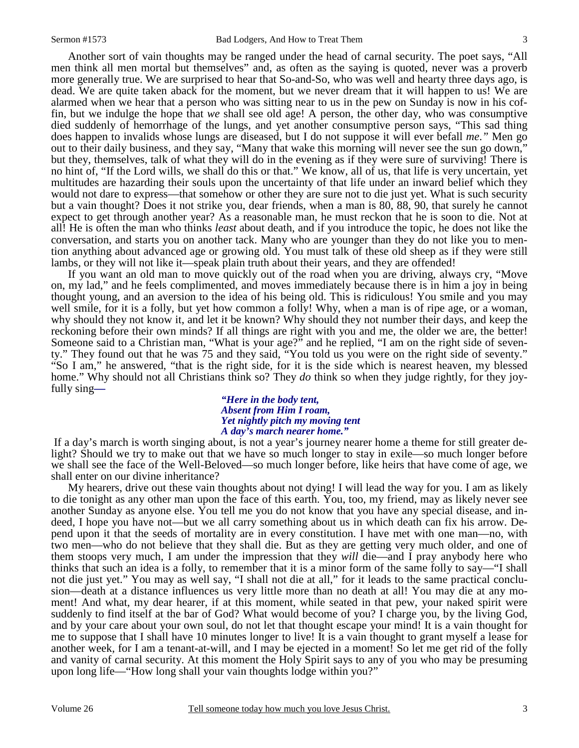Another sort of vain thoughts may be ranged under the head of carnal security. The poet says, "All men think all men mortal but themselves" and, as often as the saying is quoted, never was a proverb more generally true. We are surprised to hear that So-and-So, who was well and hearty three days ago, is dead. We are quite taken aback for the moment, but we never dream that it will happen to us! We are alarmed when we hear that a person who was sitting near to us in the pew on Sunday is now in his coffin, but we indulge the hope that *we* shall see old age! A person, the other day, who was consumptive died suddenly of hemorrhage of the lungs, and yet another consumptive person says, "This sad thing does happen to invalids whose lungs are diseased, but I do not suppose it will ever befall *me*.*"* Men go out to their daily business, and they say, "Many that wake this morning will never see the sun go down," but they, themselves, talk of what they will do in the evening as if they were sure of surviving! There is no hint of, "If the Lord wills, we shall do this or that." We know, all of us, that life is very uncertain, yet multitudes are hazarding their souls upon the uncertainty of that life under an inward belief which they would not dare to express—that somehow or other they are sure not to die just yet. What is such security but a vain thought? Does it not strike you, dear friends, when a man is 80, 88, 90, that surely he cannot expect to get through another year? As a reasonable man, he must reckon that he is soon to die. Not at all! He is often the man who thinks *least* about death, and if you introduce the topic, he does not like the conversation, and starts you on another tack. Many who are younger than they do not like you to mention anything about advanced age or growing old. You must talk of these old sheep as if they were still lambs, or they will not like it—speak plain truth about their years, and they are offended!

 If you want an old man to move quickly out of the road when you are driving, always cry, "Move on, my lad," and he feels complimented, and moves immediately because there is in him a joy in being thought young, and an aversion to the idea of his being old. This is ridiculous! You smile and you may well smile, for it is a folly, but yet how common a folly! Why, when a man is of ripe age, or a woman, why should they not know it, and let it be known? Why should they not number their days, and keep the reckoning before their own minds? If all things are right with you and me, the older we are, the better! Someone said to a Christian man, "What is your age?" and he replied, "I am on the right side of seventy." They found out that he was 75 and they said, "You told us you were on the right side of seventy." "So I am," he answered, "that is the right side, for it is the side which is nearest heaven, my blessed home." Why should not all Christians think so? They *do* think so when they judge rightly, for they joyfully sing*—* 

*"Here in the body tent, Absent from Him I roam, Yet nightly pitch my moving tent A day's march nearer home."* 

If a day's march is worth singing about, is not a year's journey nearer home a theme for still greater delight? Should we try to make out that we have so much longer to stay in exile—so much longer before we shall see the face of the Well-Beloved—so much longer before, like heirs that have come of age, we shall enter on our divine inheritance?

 My hearers, drive out these vain thoughts about not dying! I will lead the way for you. I am as likely to die tonight as any other man upon the face of this earth. You, too, my friend, may as likely never see another Sunday as anyone else. You tell me you do not know that you have any special disease, and indeed, I hope you have not—but we all carry something about us in which death can fix his arrow. Depend upon it that the seeds of mortality are in every constitution. I have met with one man—no, with two men—who do not believe that they shall die. But as they are getting very much older, and one of them stoops very much, I am under the impression that they *will* die—and I pray anybody here who thinks that such an idea is a folly, to remember that it is a minor form of the same folly to say—"I shall not die just yet." You may as well say, "I shall not die at all," for it leads to the same practical conclusion—death at a distance influences us very little more than no death at all! You may die at any moment! And what, my dear hearer, if at this moment, while seated in that pew, your naked spirit were suddenly to find itself at the bar of God? What would become of you? I charge you, by the living God, and by your care about your own soul, do not let that thought escape your mind! It is a vain thought for me to suppose that I shall have 10 minutes longer to live! It is a vain thought to grant myself a lease for another week, for I am a tenant-at-will, and I may be ejected in a moment! So let me get rid of the folly and vanity of carnal security. At this moment the Holy Spirit says to any of you who may be presuming upon long life—"How long shall your vain thoughts lodge within you?"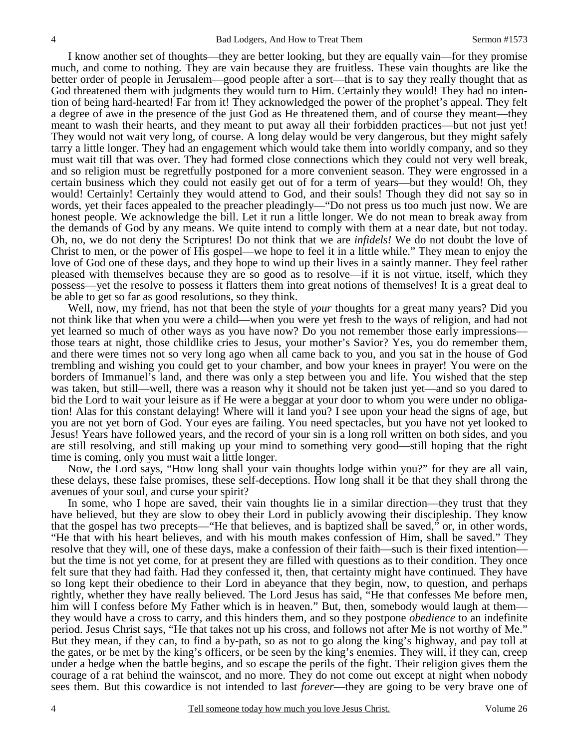I know another set of thoughts—they are better looking, but they are equally vain—for they promise much, and come to nothing. They are vain because they are fruitless. These vain thoughts are like the better order of people in Jerusalem—good people after a sort—that is to say they really thought that as God threatened them with judgments they would turn to Him. Certainly they would! They had no intention of being hard-hearted! Far from it! They acknowledged the power of the prophet's appeal. They felt a degree of awe in the presence of the just God as He threatened them, and of course they meant—they meant to wash their hearts, and they meant to put away all their forbidden practices—but not just yet! They would not wait very long, of course. A long delay would be very dangerous, but they might safely tarry a little longer. They had an engagement which would take them into worldly company, and so they must wait till that was over. They had formed close connections which they could not very well break, and so religion must be regretfully postponed for a more convenient season. They were engrossed in a certain business which they could not easily get out of for a term of years—but they would! Oh, they would! Certainly! Certainly they would attend to God, and their souls! Though they did not say so in words, yet their faces appealed to the preacher pleadingly—"Do not press us too much just now. We are honest people. We acknowledge the bill. Let it run a little longer. We do not mean to break away from the demands of God by any means. We quite intend to comply with them at a near date, but not today. Oh, no, we do not deny the Scriptures! Do not think that we are *infidels!* We do not doubt the love of Christ to men, or the power of His gospel—we hope to feel it in a little while." They mean to enjoy the love of God one of these days, and they hope to wind up their lives in a saintly manner. They feel rather pleased with themselves because they are so good as to resolve—if it is not virtue, itself, which they possess—yet the resolve to possess it flatters them into great notions of themselves! It is a great deal to be able to get so far as good resolutions, so they think.

 Well, now, my friend, has not that been the style of *your* thoughts for a great many years? Did you not think like that when you were a child—when you were yet fresh to the ways of religion, and had not yet learned so much of other ways as you have now? Do you not remember those early impressions those tears at night, those childlike cries to Jesus, your mother's Savior? Yes, you do remember them, and there were times not so very long ago when all came back to you, and you sat in the house of God trembling and wishing you could get to your chamber, and bow your knees in prayer! You were on the borders of Immanuel's land, and there was only a step between you and life. You wished that the step was taken, but still—well, there was a reason why it should not be taken just yet—and so you dared to bid the Lord to wait your leisure as if He were a beggar at your door to whom you were under no obligation! Alas for this constant delaying! Where will it land you? I see upon your head the signs of age, but you are not yet born of God. Your eyes are failing. You need spectacles, but you have not yet looked to Jesus! Years have followed years, and the record of your sin is a long roll written on both sides, and you are still resolving, and still making up your mind to something very good—still hoping that the right time is coming, only you must wait a little longer.

 Now, the Lord says, "How long shall your vain thoughts lodge within you?" for they are all vain, these delays, these false promises, these self-deceptions. How long shall it be that they shall throng the avenues of your soul, and curse your spirit?

 In some, who I hope are saved, their vain thoughts lie in a similar direction—they trust that they have believed, but they are slow to obey their Lord in publicly avowing their discipleship. They know that the gospel has two precepts—"He that believes, and is baptized shall be saved," or, in other words, "He that with his heart believes, and with his mouth makes confession of Him, shall be saved." They resolve that they will, one of these days, make a confession of their faith—such is their fixed intention but the time is not yet come, for at present they are filled with questions as to their condition. They once felt sure that they had faith. Had they confessed it, then, that certainty might have continued. They have so long kept their obedience to their Lord in abeyance that they begin, now, to question, and perhaps rightly, whether they have really believed. The Lord Jesus has said, "He that confesses Me before men, him will I confess before My Father which is in heaven." But, then, somebody would laugh at themthey would have a cross to carry, and this hinders them, and so they postpone *obedience* to an indefinite period. Jesus Christ says, "He that takes not up his cross, and follows not after Me is not worthy of Me." But they mean, if they can, to find a by-path, so as not to go along the king's highway, and pay toll at the gates, or be met by the king's officers, or be seen by the king's enemies. They will, if they can, creep under a hedge when the battle begins, and so escape the perils of the fight. Their religion gives them the courage of a rat behind the wainscot, and no more. They do not come out except at night when nobody sees them. But this cowardice is not intended to last *forever*—they are going to be very brave one of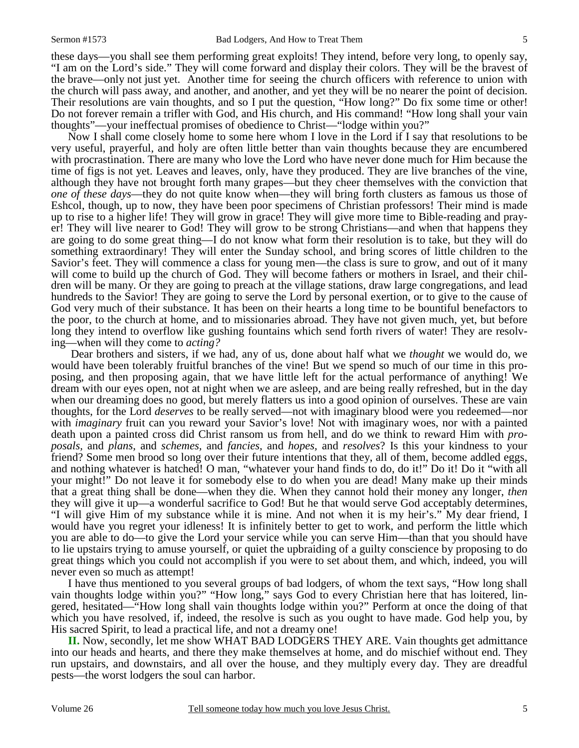these days—you shall see them performing great exploits! They intend, before very long, to openly say, "I am on the Lord's side." They will come forward and display their colors. They will be the bravest of the brave—only not just yet. Another time for seeing the church officers with reference to union with the church will pass away, and another, and another, and yet they will be no nearer the point of decision. Their resolutions are vain thoughts, and so I put the question, "How long?" Do fix some time or other! Do not forever remain a trifler with God, and His church, and His command! "How long shall your vain thoughts"—your ineffectual promises of obedience to Christ—"lodge within you?"

 Now I shall come closely home to some here whom I love in the Lord if I say that resolutions to be very useful, prayerful, and holy are often little better than vain thoughts because they are encumbered with procrastination. There are many who love the Lord who have never done much for Him because the time of figs is not yet. Leaves and leaves, only, have they produced. They are live branches of the vine, although they have not brought forth many grapes—but they cheer themselves with the conviction that *one of these days*—they do not quite know when—they will bring forth clusters as famous us those of Eshcol, though, up to now, they have been poor specimens of Christian professors! Their mind is made up to rise to a higher life! They will grow in grace! They will give more time to Bible-reading and prayer! They will live nearer to God! They will grow to be strong Christians—and when that happens they are going to do some great thing—I do not know what form their resolution is to take, but they will do something extraordinary! They will enter the Sunday school, and bring scores of little children to the Savior's feet. They will commence a class for young men—the class is sure to grow, and out of it many will come to build up the church of God. They will become fathers or mothers in Israel, and their children will be many. Or they are going to preach at the village stations, draw large congregations, and lead hundreds to the Savior! They are going to serve the Lord by personal exertion, or to give to the cause of God very much of their substance. It has been on their hearts a long time to be bountiful benefactors to the poor, to the church at home, and to missionaries abroad. They have not given much, yet, but before long they intend to overflow like gushing fountains which send forth rivers of water! They are resolving—when will they come to *acting?*

 Dear brothers and sisters, if we had, any of us, done about half what we *thought* we would do, we would have been tolerably fruitful branches of the vine! But we spend so much of our time in this proposing, and then proposing again, that we have little left for the actual performance of anything! We dream with our eyes open, not at night when we are asleep, and are being really refreshed, but in the day when our dreaming does no good, but merely flatters us into a good opinion of ourselves. These are vain thoughts, for the Lord *deserves* to be really served—not with imaginary blood were you redeemed—nor with *imaginary* fruit can you reward your Savior's love! Not with imaginary woes, nor with a painted death upon a painted cross did Christ ransom us from hell, and do we think to reward Him with *proposals,* and *plans,* and *schemes,* and *fancies,* and *hopes,* and *resolves*? Is this your kindness to your friend? Some men brood so long over their future intentions that they, all of them, become addled eggs, and nothing whatever is hatched! O man, "whatever your hand finds to do, do it!" Do it! Do it "with all your might!" Do not leave it for somebody else to do when you are dead! Many make up their minds that a great thing shall be done—when they die. When they cannot hold their money any longer, *then* they will give it up—a wonderful sacrifice to God! But he that would serve God acceptably determines, "I will give Him of my substance while it is mine. And not when it is my heir's." My dear friend, I would have you regret your idleness! It is infinitely better to get to work, and perform the little which you are able to do—to give the Lord your service while you can serve Him—than that you should have to lie upstairs trying to amuse yourself, or quiet the upbraiding of a guilty conscience by proposing to do great things which you could not accomplish if you were to set about them, and which, indeed, you will never even so much as attempt!

 I have thus mentioned to you several groups of bad lodgers, of whom the text says, "How long shall vain thoughts lodge within you?" "How long," says God to every Christian here that has loitered, lingered, hesitated—"How long shall vain thoughts lodge within you?" Perform at once the doing of that which you have resolved, if, indeed, the resolve is such as you ought to have made. God help you, by His sacred Spirit, to lead a practical life, and not a dreamy one!

**II.** Now, secondly, let me show WHAT BAD LODGERS THEY ARE. Vain thoughts get admittance into our heads and hearts, and there they make themselves at home, and do mischief without end. They run upstairs, and downstairs, and all over the house, and they multiply every day. They are dreadful pests—the worst lodgers the soul can harbor.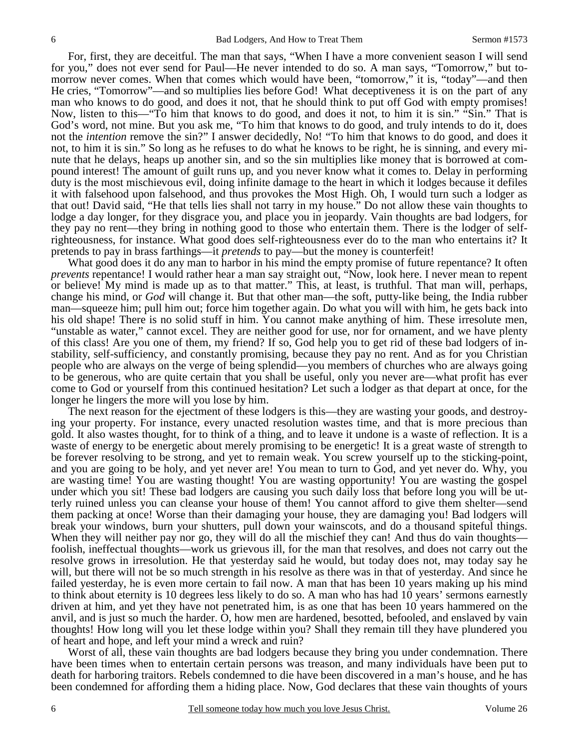For, first, they are deceitful. The man that says, "When I have a more convenient season I will send for you," does not ever send for Paul—He never intended to do so. A man says, "Tomorrow," but tomorrow never comes. When that comes which would have been, "tomorrow," it is, "today"—and then He cries, "Tomorrow"—and so multiplies lies before God! What deceptiveness it is on the part of any man who knows to do good, and does it not, that he should think to put off God with empty promises! Now, listen to this—"To him that knows to do good, and does it not, to him it is sin." "Sin." That is God's word, not mine. But you ask me, "To him that knows to do good, and truly intends to do it, does not the *intention* remove the sin?" I answer decidedly, No! "To him that knows to do good, and does it not, to him it is sin." So long as he refuses to do what he knows to be right, he is sinning, and every minute that he delays, heaps up another sin, and so the sin multiplies like money that is borrowed at compound interest! The amount of guilt runs up, and you never know what it comes to. Delay in performing duty is the most mischievous evil, doing infinite damage to the heart in which it lodges because it defiles it with falsehood upon falsehood, and thus provokes the Most High. Oh, I would turn such a lodger as that out! David said, "He that tells lies shall not tarry in my house." Do not allow these vain thoughts to lodge a day longer, for they disgrace you, and place you in jeopardy. Vain thoughts are bad lodgers, for they pay no rent—they bring in nothing good to those who entertain them. There is the lodger of selfrighteousness, for instance. What good does self-righteousness ever do to the man who entertains it? It pretends to pay in brass farthings—it *pretends* to pay—but the money is counterfeit!

 What good does it do any man to harbor in his mind the empty promise of future repentance? It often *prevents* repentance! I would rather hear a man say straight out, "Now, look here. I never mean to repent or believe! My mind is made up as to that matter." This, at least, is truthful. That man will, perhaps, change his mind, or *God* will change it. But that other man—the soft, putty-like being, the India rubber man—squeeze him; pull him out; force him together again. Do what you will with him, he gets back into his old shape! There is no solid stuff in him. You cannot make anything of him. These irresolute men, "unstable as water," cannot excel. They are neither good for use, nor for ornament, and we have plenty of this class! Are you one of them, my friend? If so, God help you to get rid of these bad lodgers of instability, self-sufficiency, and constantly promising, because they pay no rent. And as for you Christian people who are always on the verge of being splendid—you members of churches who are always going to be generous, who are quite certain that you shall be useful, only you never are—what profit has ever come to God or yourself from this continued hesitation? Let such a lodger as that depart at once, for the longer he lingers the more will you lose by him.

 The next reason for the ejectment of these lodgers is this—they are wasting your goods, and destroying your property. For instance, every unacted resolution wastes time, and that is more precious than gold. It also wastes thought, for to think of a thing, and to leave it undone is a waste of reflection. It is a waste of energy to be energetic about merely promising to be energetic! It is a great waste of strength to be forever resolving to be strong, and yet to remain weak. You screw yourself up to the sticking-point, and you are going to be holy, and yet never are! You mean to turn to God, and yet never do. Why, you are wasting time! You are wasting thought! You are wasting opportunity! You are wasting the gospel under which you sit! These bad lodgers are causing you such daily loss that before long you will be utterly ruined unless you can cleanse your house of them! You cannot afford to give them shelter—send them packing at once! Worse than their damaging your house, they are damaging you! Bad lodgers will break your windows, burn your shutters, pull down your wainscots, and do a thousand spiteful things. When they will neither pay nor go, they will do all the mischief they can! And thus do vain thoughts foolish, ineffectual thoughts—work us grievous ill, for the man that resolves, and does not carry out the resolve grows in irresolution. He that yesterday said he would, but today does not, may today say he will, but there will not be so much strength in his resolve as there was in that of yesterday. And since he failed yesterday, he is even more certain to fail now. A man that has been 10 years making up his mind to think about eternity is 10 degrees less likely to do so. A man who has had 10 years' sermons earnestly driven at him, and yet they have not penetrated him, is as one that has been 10 years hammered on the anvil, and is just so much the harder. O, how men are hardened, besotted, befooled, and enslaved by vain thoughts! How long will you let these lodge within you? Shall they remain till they have plundered you of heart and hope, and left your mind a wreck and ruin?

 Worst of all, these vain thoughts are bad lodgers because they bring you under condemnation. There have been times when to entertain certain persons was treason, and many individuals have been put to death for harboring traitors. Rebels condemned to die have been discovered in a man's house, and he has been condemned for affording them a hiding place. Now, God declares that these vain thoughts of yours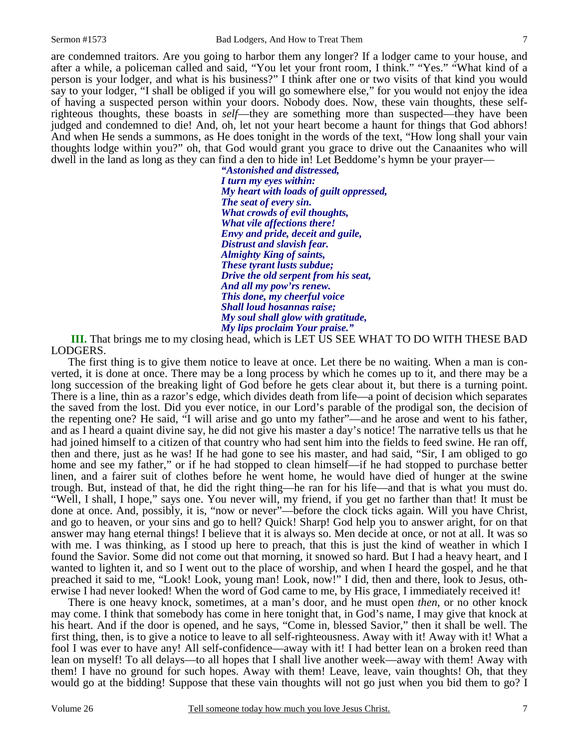are condemned traitors. Are you going to harbor them any longer? If a lodger came to your house, and after a while, a policeman called and said, "You let your front room, I think." "Yes." "What kind of a person is your lodger, and what is his business?" I think after one or two visits of that kind you would say to your lodger, "I shall be obliged if you will go somewhere else," for you would not enjoy the idea of having a suspected person within your doors. Nobody does. Now, these vain thoughts, these selfrighteous thoughts, these boasts in *self*—they are something more than suspected—they have been judged and condemned to die! And, oh, let not your heart become a haunt for things that God abhors! And when He sends a summons, as He does tonight in the words of the text, "How long shall your vain thoughts lodge within you?" oh, that God would grant you grace to drive out the Canaanites who will dwell in the land as long as they can find a den to hide in! Let Beddome's hymn be your prayer—

> *"Astonished and distressed, I turn my eyes within: My heart with loads of guilt oppressed, The seat of every sin. What crowds of evil thoughts, What vile affections there! Envy and pride, deceit and guile, Distrust and slavish fear. Almighty King of saints, These tyrant lusts subdue; Drive the old serpent from his seat, And all my pow'rs renew. This done, my cheerful voice Shall loud hosannas raise; My soul shall glow with gratitude, My lips proclaim Your praise."*

**III.** That brings me to my closing head, which is LET US SEE WHAT TO DO WITH THESE BAD LODGERS.

 The first thing is to give them notice to leave at once. Let there be no waiting. When a man is converted, it is done at once. There may be a long process by which he comes up to it, and there may be a long succession of the breaking light of God before he gets clear about it, but there is a turning point. There is a line, thin as a razor's edge, which divides death from life—a point of decision which separates the saved from the lost. Did you ever notice, in our Lord's parable of the prodigal son, the decision of the repenting one? He said, "I will arise and go unto my father"—and he arose and went to his father, and as I heard a quaint divine say, he did not give his master a day's notice! The narrative tells us that he had joined himself to a citizen of that country who had sent him into the fields to feed swine. He ran off, then and there, just as he was! If he had gone to see his master, and had said, "Sir, I am obliged to go home and see my father," or if he had stopped to clean himself—if he had stopped to purchase better linen, and a fairer suit of clothes before he went home, he would have died of hunger at the swine trough. But, instead of that, he did the right thing—he ran for his life—and that is what you must do. "Well, I shall, I hope," says one. You never will, my friend, if you get no farther than that! It must be done at once. And, possibly, it is, "now or never"—before the clock ticks again. Will you have Christ, and go to heaven, or your sins and go to hell? Quick! Sharp! God help you to answer aright, for on that answer may hang eternal things! I believe that it is always so. Men decide at once, or not at all. It was so with me. I was thinking, as I stood up here to preach, that this is just the kind of weather in which I found the Savior. Some did not come out that morning, it snowed so hard. But I had a heavy heart, and I wanted to lighten it, and so I went out to the place of worship, and when I heard the gospel, and he that preached it said to me, "Look! Look, young man! Look, now!" I did, then and there, look to Jesus, otherwise I had never looked! When the word of God came to me, by His grace, I immediately received it!

 There is one heavy knock, sometimes, at a man's door, and he must open *then*, or no other knock may come. I think that somebody has come in here tonight that, in God's name, I may give that knock at his heart. And if the door is opened, and he says, "Come in, blessed Savior," then it shall be well. The first thing, then, is to give a notice to leave to all self-righteousness. Away with it! Away with it! What a fool I was ever to have any! All self-confidence—away with it! I had better lean on a broken reed than lean on myself! To all delays—to all hopes that I shall live another week—away with them! Away with them! I have no ground for such hopes. Away with them! Leave, leave, vain thoughts! Oh, that they would go at the bidding! Suppose that these vain thoughts will not go just when you bid them to go? I